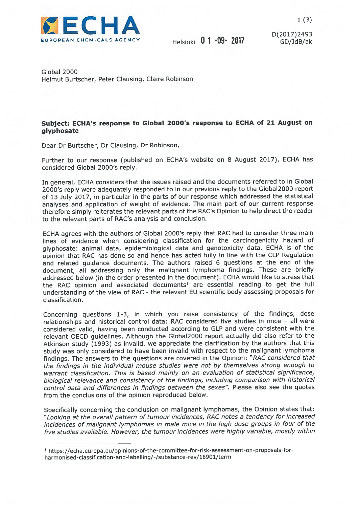

D(2017)2493

Global 2000 Helmut Burtscher, Peter Clausing, Claire Robinson

## Subject: ECHA's response to Global 2000's response to ECHA of <sup>21</sup> August on glyphosate

Dear Dr Burtscher, Dr Clausing, Dr Robinson,

Further to our response (published on ECHA's website on <sup>8</sup> August 2017), ECHA has considered Global 2000's reply.

In general, ECHA considers that the issues raised and the documents referred to in Global 2000's reply were adequately responded to in our previous reply to the G1oba12000 repor<sup>t</sup> of <sup>13</sup> July 2017, in particular in the parts of our response which addressed the statistical analyses and application of weight of evidence. The main par<sup>t</sup> of our current response therefore simply reiterates the relevant parts of the RAC's Opinion to help direct the reader to the relevant parts of RAC's analysis and conclusion.

ECHA agrees with the authors of Global 2000's reply that RAC had to consider three main lines of evidence when considering classification for the carcinogenicity hazard of <sup>g</sup>lyphosate: animal data, epidemiological data and genotoxicity data. ECHA is of the opinion that RAC has done so and hence has acted fully in line with the CLP Regulation and related guidance documents. The authors raised <sup>6</sup> questions at the end of the document, all addressing only the malignant lymphoma findings. These are briefly addressed below (in the order presented in the document). ECHA would like to stress that the RAC opinion and associated documents' are essential reading to ge<sup>t</sup> the full understanding of the view of RAC - the relevant EU scientific body assessing proposals for classification.

Concerning questions 1-3, in which you raise consistency of the findings, dose relationships and historical control data: RAC considered five studies in mice — all were considered valid, having been conducted according to GLP and were consistent with the relevant OECD guidelines. Although the Global2000 repor<sup>t</sup> actually did also refer to the Atkinson study (1993) as invalid, we appreciate the clarification by the authors that this study was only considered to have been invalid with respec<sup>t</sup> to the malignant lymphoma findings. The answers to the questions are covered in the Opinion: "RAC considered that the findings in the individual mouse studies were not by themselves strong enoug<sup>h</sup> to warrant classification. This is based mainly on an evaluation of statistical significance, biological relevance and consistency of the findings, including comparison with historical control data and differences in findings between the sexes". Please also see the quotes from the conclusions of the opinion reproduced below.

Specifically concerning the conclusion on malignant lymphomas, the Opinion states that: "Looking at the overall pattern of tumour incidences, RAC notes <sup>a</sup> tendency for increased incidences of malignant lymphomas in male mice in the high dose groups in four of the five studies available. However, the tumour incidences were highly variable, mostly within

<sup>&#</sup>x27; https://echa.europa.eu/opinions-of-the-committee-for-risk-assessment-on-proposals-for harmonised-classification-and-Iabelling/-/substance-rev/16901/term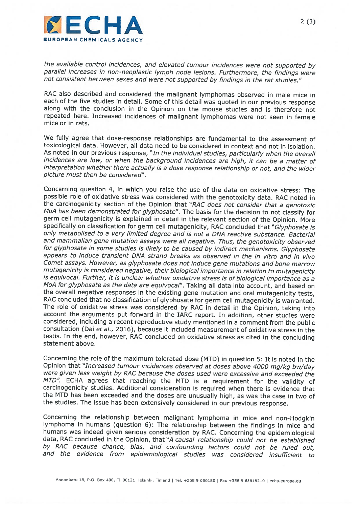

the available control incidences, and elevated tumour incidences were not supported by parallel increases in non-neoplastic lymph node lesions. Furthermore, the findings were not consistent between sexes and were not supported by findings in the rat studies."

RAC also described and considered the malignant lymphomas observed in male mice in each of the five studies in detail. Some of this detail was quoted in our previous response along with the conclusion in the Opinion on the mouse studies and is therefore not repeated here. Increased incidences of malignant lymphomas were not seen in female mice or in rats.

We fully agree that dose-response relationships are fundamental to the assessment of toxicological data. However, all data need to be considered in context and not in isolation. As noted in our previous response, "In the individual studies, particularly when the overall incidences are low, or when the background incidences are high, it can be <sup>a</sup> matter of interpretation whether there actually is <sup>a</sup> dose response relationship or not, and the wider picture must then be considered".

Concerning question 4, in which you raise the use of the data on oxidative stress: The possible role of oxidative stress was considered with the genotoxicity data. RAC noted in the carcinogenicity section of the Opinion that "RAC does not consider that <sup>a</sup> genotoxic M0A has been demonstrated for <sup>g</sup>lyphosate". The basis for the decision to not classify for germ cell mutagenicity is explained in detail in the relevant section of the Opinion. More specifically on classification for germ cell mutagenicity, RAC concluded that "Glyphosate is only metabolised to <sup>a</sup> very limited degree and is not <sup>a</sup> DNA reactive substance. Bacterial and mammalian gene mutation assays were all negative. Thus, the genotoxicity observed for <sup>g</sup>lyphosate in some studies is likely to be caused by indirect mechanisms. Glyphosate appears to induce transient DNA strand breaks as observed in the in vitro and in vivo Comet assays. However, as <sup>g</sup>lyphosate does not induce gene mutations and bone marrow mutagenicity is considered negative, their biological importance in relation to mutagenicity<br>is equivocal. Further, it is unclear whether oxidative stress is of biological importance as a MoA for <sup>g</sup>lyphosate as the data are equivocal". Taking all data into account, and based on the overall negative responses in the existing gene mutation and oral mutagenicity tests, RAC concluded that no classification of <sup>g</sup>lyphosate for germ cell mutagenicity is warranted. The role of oxidative stress was considered by RAC in detail in the Opinion, taking into account the arguments put forward in the IARC report. In addition, other studies were considered, including <sup>a</sup> recent reproductive study mentioned in <sup>a</sup> comment from the public consultation (Dai et al., 2016), because it included measurement of oxidative stress in the testis. In the end, however, RAC concluded on oxidative stress as cited in the concluding statement above.

Concerning the role of the maximum tolerated dose (MTD) in question 5: It is noted in the Opinion that "Increased tumour incidences observed at doses above 4000 mg/kg bw/day were given less weight by RAC because the doses used were excessive and exceeded the MTD". ECHA agrees that reaching the MTD is a requirement for the validity of carcinogenicity studies. Additional consideration is required when there is evidence that the MTD has been exceeded and the doses are unusually high, as was the case in two of the studies. The issue has been extensively considered in our previous response.

Concerning the relationship between malignant lymphoma in mice and non-Hodgkin lymphoma in humans (question 6): The relationship between the findings in mice and humans was indeed given serious consideration by RAC. Concerning the epidemiological data, RAC concluded in the Opinion, that "A causal relationship could not be established by RAC because chance, bias, and confounding factors could not be ruled out, and the evidence from epidemiological studies was considered insufficient to